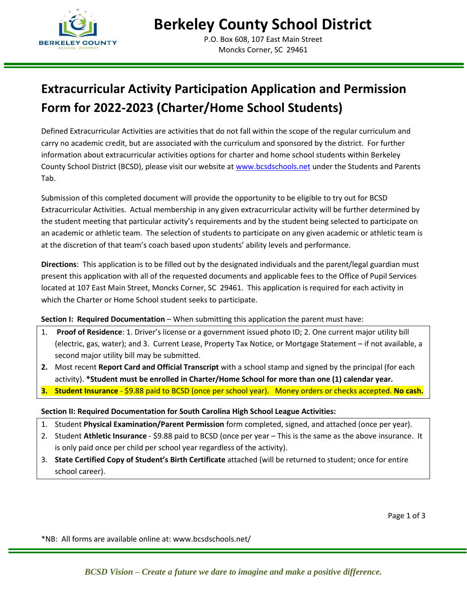

P.O. Box 608, 107 East Main Street Moncks Corner, SC 29461

## **Extracurricular Activity Participation Application and Permission Form for 2022-2023 (Charter/Home School Students)**

Defined Extracurricular Activities are activities that do not fall within the scope of the regular curriculum and carry no academic credit, but are associated with the curriculum and sponsored by the district. For further information about extracurricular activities options for charter and home school students within Berkeley County School District (BCSD), please visit our website at [www.bcsdschools.net](http://www.bcsdschools.net/Domain/4) under the Students and Parents Tab.

Submission of this completed document will provide the opportunity to be eligible to try out for BCSD Extracurricular Activities. Actual membership in any given extracurricular activity will be further determined by the student meeting that particular activity's requirements and by the student being selected to participate on an academic or athletic team. The selection of students to participate on any given academic or athletic team is at the discretion of that team's coach based upon students' ability levels and performance.

**Directions**: This application is to be filled out by the designated individuals and the parent/legal guardian must present this application with all of the requested documents and applicable fees to the Office of Pupil Services located at 107 East Main Street, Moncks Corner, SC 29461. This application is required for each activity in which the Charter or Home School student seeks to participate.

### **Section I: Required Documentation** – When submitting this application the parent must have:

- 1. **Proof of Residence**: 1. Driver's license or a government issued photo ID; 2. One current major utility bill (electric, gas, water); and 3. Current Lease, Property Tax Notice, or Mortgage Statement – if not available, a second major utility bill may be submitted.
- **2.** Most recent **Report Card and Official Transcript** with a school stamp and signed by the principal (for each activity). **\*Student must be enrolled in Charter/Home School for more than one (1) calendar year.**
- **3. Student Insurance** \$9.88 paid to BCSD (once per school year). Money orders or checks accepted. **No cash.**

### **Section II: Required Documentation for South Carolina High School League Activities:**

- 1. Student **Physical Examination/Parent Permission** form completed, signed, and attached (once per year).
- 2. Student **Athletic Insurance** \$9.88 paid to BCSD (once per year This is the same as the above insurance. It is only paid once per child per school year regardless of the activity).
- 3. **State Certified Copy of Student's Birth Certificate** attached (will be returned to student; once for entire school career).

Page 1 of 3

\*NB: All forms are available online at: www.bcsdschools.net/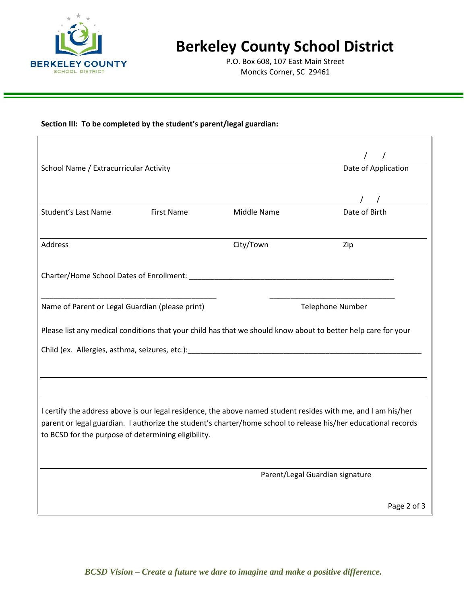

# **Berkeley County School District**

P.O. Box 608, 107 East Main Street Moncks Corner, SC 29461

#### **Section III: To be completed by the student's parent/legal guardian:**

| School Name / Extracurricular Activity                                                                                                                                                                                                                                                 |             | Date of Application             |
|----------------------------------------------------------------------------------------------------------------------------------------------------------------------------------------------------------------------------------------------------------------------------------------|-------------|---------------------------------|
|                                                                                                                                                                                                                                                                                        |             |                                 |
| <b>Student's Last Name</b><br><b>First Name</b>                                                                                                                                                                                                                                        | Middle Name | Date of Birth                   |
| Address                                                                                                                                                                                                                                                                                | City/Town   | Zip                             |
|                                                                                                                                                                                                                                                                                        |             |                                 |
| Name of Parent or Legal Guardian (please print)                                                                                                                                                                                                                                        |             | <b>Telephone Number</b>         |
| Please list any medical conditions that your child has that we should know about to better help care for your                                                                                                                                                                          |             |                                 |
|                                                                                                                                                                                                                                                                                        |             |                                 |
|                                                                                                                                                                                                                                                                                        |             |                                 |
|                                                                                                                                                                                                                                                                                        |             |                                 |
| I certify the address above is our legal residence, the above named student resides with me, and I am his/her<br>parent or legal guardian. I authorize the student's charter/home school to release his/her educational records<br>to BCSD for the purpose of determining eligibility. |             |                                 |
|                                                                                                                                                                                                                                                                                        |             |                                 |
|                                                                                                                                                                                                                                                                                        |             | Parent/Legal Guardian signature |
|                                                                                                                                                                                                                                                                                        |             | Page 2 of 3                     |

*BCSD Vision – Create a future we dare to imagine and make a positive difference.*